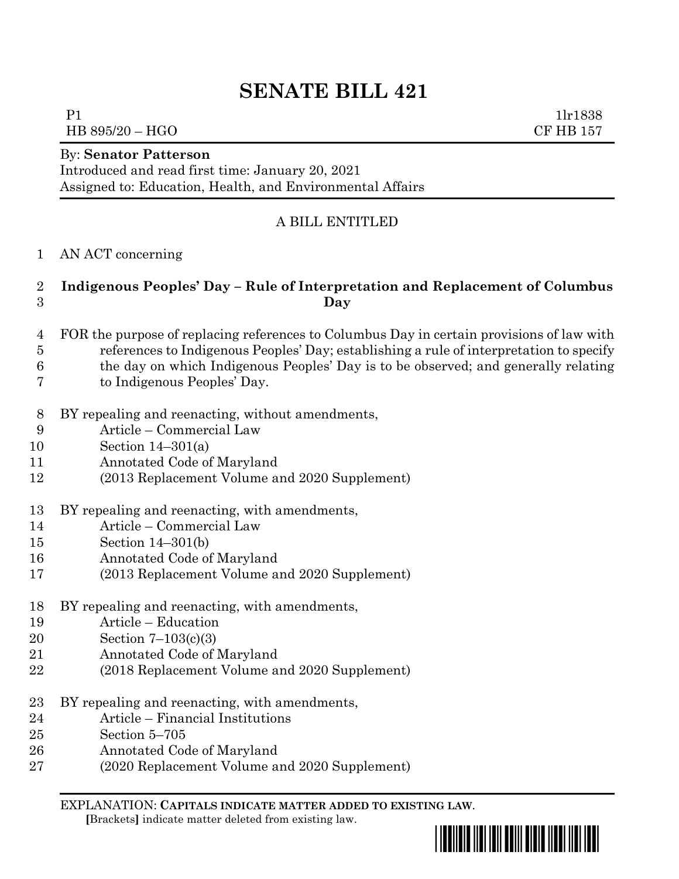# **SENATE BILL 421**

P1 1lr1838 HB 895/20 – HGO CF HB 157

By: **Senator Patterson**

Introduced and read first time: January 20, 2021 Assigned to: Education, Health, and Environmental Affairs

## A BILL ENTITLED

AN ACT concerning

## **Indigenous Peoples' Day – Rule of Interpretation and Replacement of Columbus Day**

- FOR the purpose of replacing references to Columbus Day in certain provisions of law with references to Indigenous Peoples' Day; establishing a rule of interpretation to specify
- the day on which Indigenous Peoples' Day is to be observed; and generally relating
- to Indigenous Peoples' Day.
- BY repealing and reenacting, without amendments,
- Article Commercial Law
- Section 14–301(a)
- Annotated Code of Maryland
- (2013 Replacement Volume and 2020 Supplement)
- BY repealing and reenacting, with amendments,
- Article Commercial Law
- Section 14–301(b)
- Annotated Code of Maryland
- (2013 Replacement Volume and 2020 Supplement)
- BY repealing and reenacting, with amendments,
- Article Education
- Section 7–103(c)(3)
- Annotated Code of Maryland
- (2018 Replacement Volume and 2020 Supplement)
- BY repealing and reenacting, with amendments,
- Article Financial Institutions
- Section 5–705
- Annotated Code of Maryland
- (2020 Replacement Volume and 2020 Supplement)

EXPLANATION: **CAPITALS INDICATE MATTER ADDED TO EXISTING LAW**.

 **[**Brackets**]** indicate matter deleted from existing law.

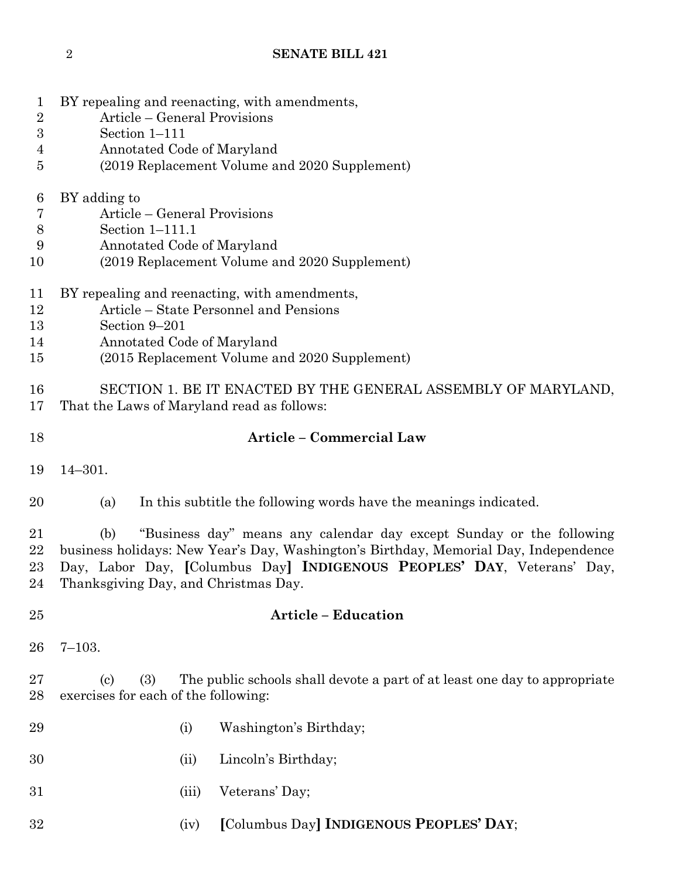- BY repealing and reenacting, with amendments,
- Article General Provisions
- Section 1–111
- Annotated Code of Maryland
- (2019 Replacement Volume and 2020 Supplement)

## BY adding to

- Article General Provisions
- Section 1–111.1
- Annotated Code of Maryland
- (2019 Replacement Volume and 2020 Supplement)
- BY repealing and reenacting, with amendments,
- Article State Personnel and Pensions
- Section 9–201
- Annotated Code of Maryland
- (2015 Replacement Volume and 2020 Supplement)

 SECTION 1. BE IT ENACTED BY THE GENERAL ASSEMBLY OF MARYLAND, That the Laws of Maryland read as follows:

## **Article – Commercial Law**

- 14–301.
- (a) In this subtitle the following words have the meanings indicated.

 (b) "Business day" means any calendar day except Sunday or the following business holidays: New Year's Day, Washington's Birthday, Memorial Day, Independence Day, Labor Day, **[**Columbus Day**] INDIGENOUS PEOPLES' DAY**, Veterans' Day, Thanksgiving Day, and Christmas Day.

## **Article – Education**

7–103.

 (c) (3) The public schools shall devote a part of at least one day to appropriate exercises for each of the following:

- (i) Washington's Birthday;
- (ii) Lincoln's Birthday;
- (iii) Veterans' Day;
- (iv) **[**Columbus Day**] INDIGENOUS PEOPLES' DAY**;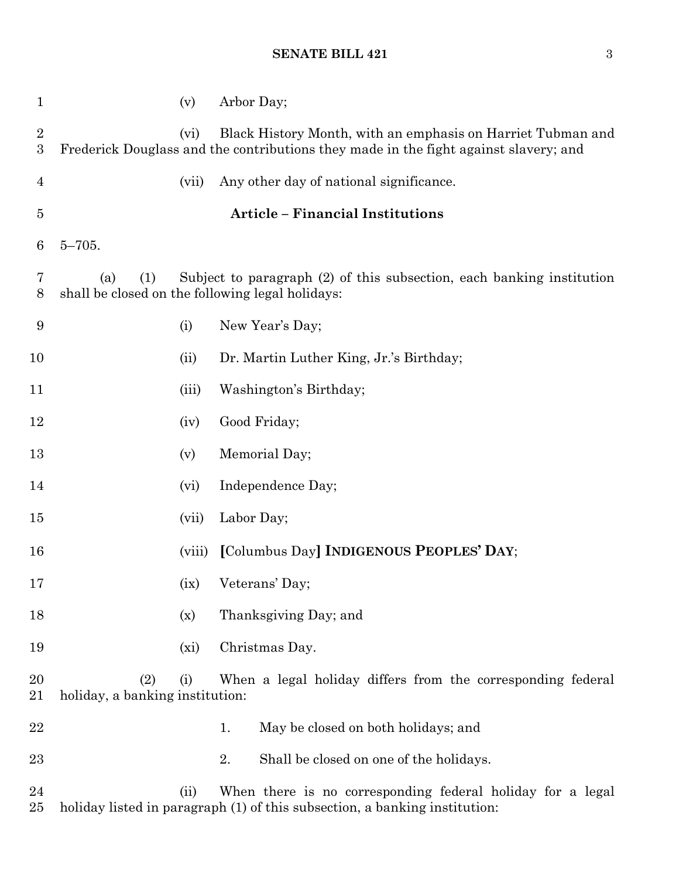## **SENATE BILL 421** 3

| $\mathbf{1}$                         |                                        | (v)     | Arbor Day;                                                                                                                                          |
|--------------------------------------|----------------------------------------|---------|-----------------------------------------------------------------------------------------------------------------------------------------------------|
| $\boldsymbol{2}$<br>$\boldsymbol{3}$ |                                        | (vi)    | Black History Month, with an emphasis on Harriet Tubman and<br>Frederick Douglass and the contributions they made in the fight against slavery; and |
| $\overline{4}$                       |                                        | (vii)   | Any other day of national significance.                                                                                                             |
| $\overline{5}$                       |                                        |         | <b>Article - Financial Institutions</b>                                                                                                             |
| 6                                    | $5 - 705.$                             |         |                                                                                                                                                     |
| 7<br>8                               | (1)<br>(a)                             |         | Subject to paragraph (2) of this subsection, each banking institution<br>shall be closed on the following legal holidays:                           |
| 9                                    |                                        | (i)     | New Year's Day;                                                                                                                                     |
| 10                                   |                                        | (ii)    | Dr. Martin Luther King, Jr.'s Birthday;                                                                                                             |
| 11                                   |                                        | (iii)   | Washington's Birthday;                                                                                                                              |
| 12                                   |                                        | (iv)    | Good Friday;                                                                                                                                        |
| 13                                   |                                        | (v)     | Memorial Day;                                                                                                                                       |
| 14                                   |                                        | (vi)    | Independence Day;                                                                                                                                   |
| 15                                   |                                        | (vii)   | Labor Day;                                                                                                                                          |
| 16                                   |                                        | (viii)  | [Columbus Day] INDIGENOUS PEOPLES' DAY;                                                                                                             |
| 17                                   |                                        | (ix)    | Veterans' Day;                                                                                                                                      |
| 18                                   |                                        | (x)     | Thanksgiving Day; and                                                                                                                               |
| 19                                   |                                        | $(x_i)$ | Christmas Day.                                                                                                                                      |
| 20<br>21                             | (2)<br>holiday, a banking institution: | (i)     | When a legal holiday differs from the corresponding federal                                                                                         |
| 22                                   |                                        |         | May be closed on both holidays; and<br>1.                                                                                                           |
| 23                                   |                                        |         | 2.<br>Shall be closed on one of the holidays.                                                                                                       |
| 24<br>$25\,$                         |                                        | (ii)    | When there is no corresponding federal holiday for a legal<br>holiday listed in paragraph (1) of this subsection, a banking institution:            |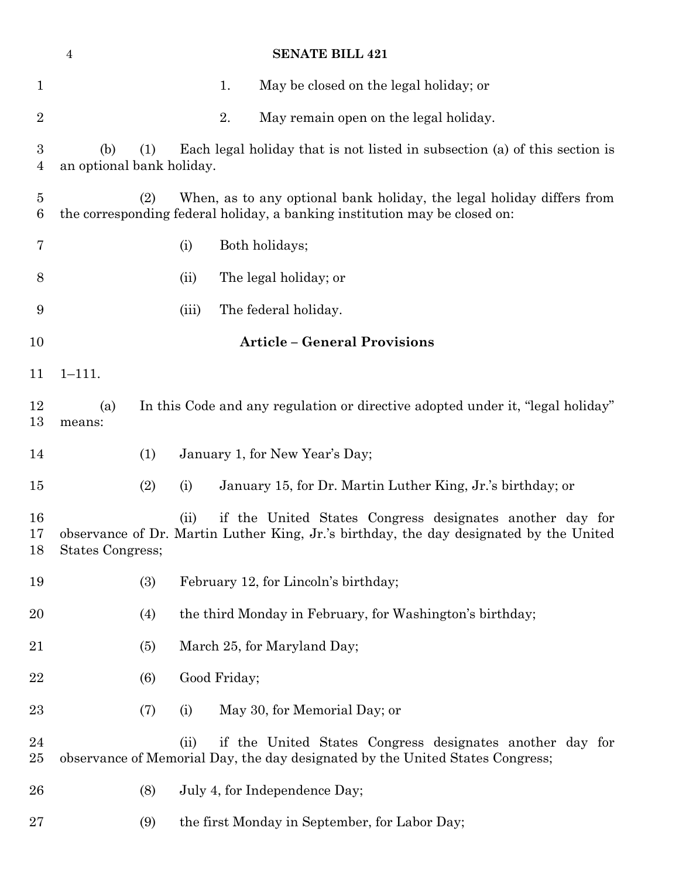|                     | $\overline{4}$                          |       | <b>SENATE BILL 421</b>                                                                                                                              |
|---------------------|-----------------------------------------|-------|-----------------------------------------------------------------------------------------------------------------------------------------------------|
| $\mathbf{1}$        |                                         |       | May be closed on the legal holiday; or<br>1.                                                                                                        |
| $\overline{2}$      |                                         |       | 2.<br>May remain open on the legal holiday.                                                                                                         |
| 3<br>$\overline{4}$ | (b)<br>(1)<br>an optional bank holiday. |       | Each legal holiday that is not listed in subsection (a) of this section is                                                                          |
| $\overline{5}$<br>6 | (2)                                     |       | When, as to any optional bank holiday, the legal holiday differs from<br>the corresponding federal holiday, a banking institution may be closed on: |
| 7                   |                                         | (i)   | Both holidays;                                                                                                                                      |
| 8                   |                                         | (ii)  | The legal holiday; or                                                                                                                               |
| 9                   |                                         | (iii) | The federal holiday.                                                                                                                                |
| 10                  |                                         |       | <b>Article - General Provisions</b>                                                                                                                 |
| 11                  | $1 - 111.$                              |       |                                                                                                                                                     |
| 12<br>13            | (a)<br>means:                           |       | In this Code and any regulation or directive adopted under it, "legal holiday"                                                                      |
| 14                  | (1)                                     |       | January 1, for New Year's Day;                                                                                                                      |
| 15                  | (2)                                     | (i)   | January 15, for Dr. Martin Luther King, Jr.'s birthday; or                                                                                          |
| 16<br>17<br>18      | States Congress;                        | (ii)  | if the United States Congress designates another day for<br>observance of Dr. Martin Luther King, Jr.'s birthday, the day designated by the United  |
| 19                  | (3)                                     |       | February 12, for Lincoln's birthday;                                                                                                                |
| 20                  | (4)                                     |       | the third Monday in February, for Washington's birthday;                                                                                            |
| 21                  | (5)                                     |       | March 25, for Maryland Day;                                                                                                                         |
| 22                  | (6)                                     |       | Good Friday;                                                                                                                                        |
| 23                  | (7)                                     | (i)   | May 30, for Memorial Day; or                                                                                                                        |
| 24<br>$25\,$        |                                         | (ii)  | if the United States Congress designates another day for<br>observance of Memorial Day, the day designated by the United States Congress;           |
| 26                  | (8)                                     |       | July 4, for Independence Day;                                                                                                                       |
| $27\,$              | (9)                                     |       | the first Monday in September, for Labor Day;                                                                                                       |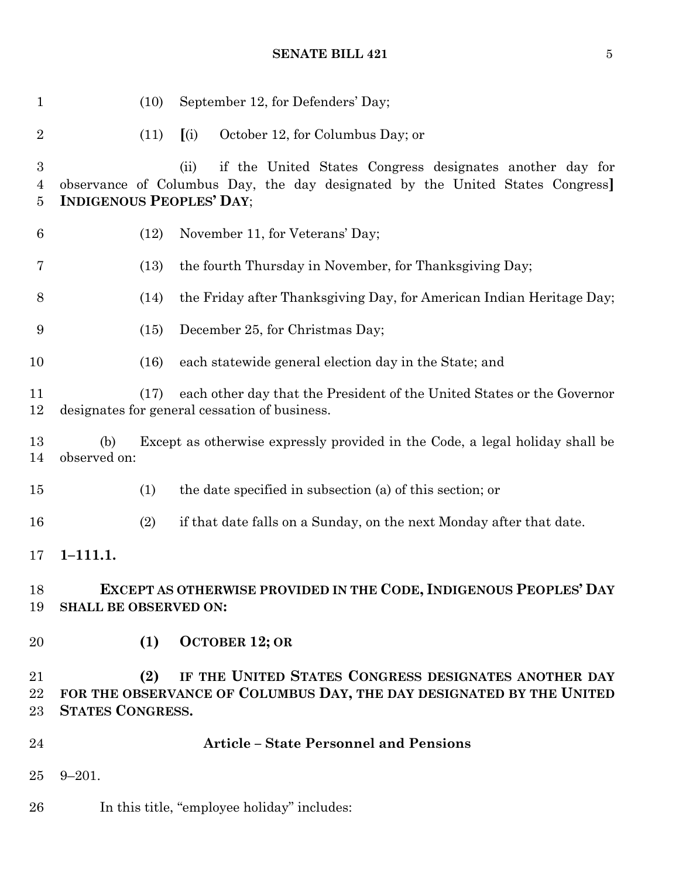## **SENATE BILL 421** 5

| $\mathbf{1}$               | (10)                            | September 12, for Defenders' Day;                                                                                                                |
|----------------------------|---------------------------------|--------------------------------------------------------------------------------------------------------------------------------------------------|
| $\overline{2}$             | (11)                            | October 12, for Columbus Day; or<br>(i)                                                                                                          |
| $\boldsymbol{3}$<br>4<br>5 | <b>INDIGENOUS PEOPLES' DAY;</b> | if the United States Congress designates another day for<br>(ii)<br>observance of Columbus Day, the day designated by the United States Congress |
| 6                          | (12)                            | November 11, for Veterans' Day;                                                                                                                  |
| 7                          | (13)                            | the fourth Thursday in November, for Thanksgiving Day;                                                                                           |
| 8                          | (14)                            | the Friday after Thanksgiving Day, for American Indian Heritage Day;                                                                             |
| 9                          | (15)                            | December 25, for Christmas Day;                                                                                                                  |
| 10                         | (16)                            | each statewide general election day in the State; and                                                                                            |
| 11<br>$12\,$               | (17)                            | each other day that the President of the United States or the Governor<br>designates for general cessation of business.                          |
| 13<br>14                   | (b)<br>observed on:             | Except as otherwise expressly provided in the Code, a legal holiday shall be                                                                     |
| $15\,$                     | (1)                             | the date specified in subsection (a) of this section; or                                                                                         |
| 16                         | (2)                             | if that date falls on a Sunday, on the next Monday after that date.                                                                              |
| 17                         | $1 - 111.1.$                    |                                                                                                                                                  |
| 18<br>19                   | <b>SHALL BE OBSERVED ON:</b>    | EXCEPT AS OTHERWISE PROVIDED IN THE CODE, INDIGENOUS PEOPLES' DAY                                                                                |
| 20                         | (1)                             | <b>OCTOBER 12; OR</b>                                                                                                                            |
| 21<br>22<br>23             | (2)<br><b>STATES CONGRESS.</b>  | IF THE UNITED STATES CONGRESS DESIGNATES ANOTHER DAY<br>FOR THE OBSERVANCE OF COLUMBUS DAY, THE DAY DESIGNATED BY THE UNITED                     |
| 24                         |                                 | <b>Article - State Personnel and Pensions</b>                                                                                                    |
| 25                         | $9 - 201.$                      |                                                                                                                                                  |
| 26                         |                                 | In this title, "employee holiday" includes:                                                                                                      |